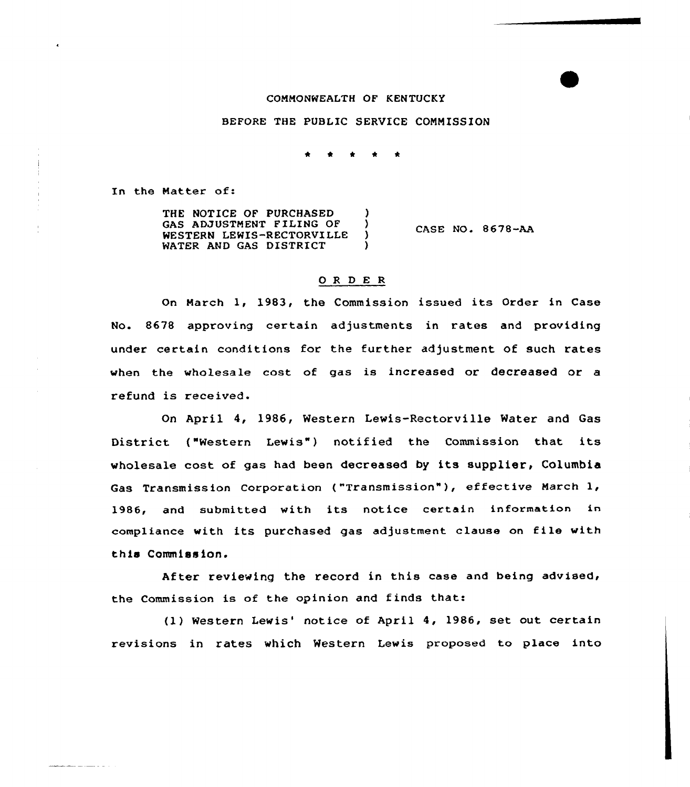## COMMONWEALTH OF KENTUCKY

#### BEFORE THE PUBLIC SERVICE COMMISSION

In the Matter of:

THE NOTICE OF PURCHASED (3) GAS ADJUSTMENT FILING OF ( WESTERN LEWIS-RECTORVILLE ) WATER AND GAS DISTRICT CASE NO. 8678-AA

#### 0 R <sup>D</sup> E R

On March 1, 1983, the Commission issued its Order in Case No. 8678 approving certain adjustments in rates and providing under certain conditions for the further adjustment of such rates when the wholesale cost of gas is increased or decreased or a refund is received.

On April 4, 1986, Western Lewis-Rectorville Water and Gas District ("Western Lewis") notified the Commission that its wholesale cost of gas had been decreased by its supplier, Columbia Gas Transmission Corporation ("Transmission"), effective March 1, 1986, and submitted with its notice certain information in compliance with its purchased gas adjustment clause on file with this Commiss ion.

After reviewing the record in this case and being advised, the Commission is of the opinion and finds that:

(1) Western Lewis' notice of April 4, 1986, set out certain revisions in rates which Western Lewis proposed to place into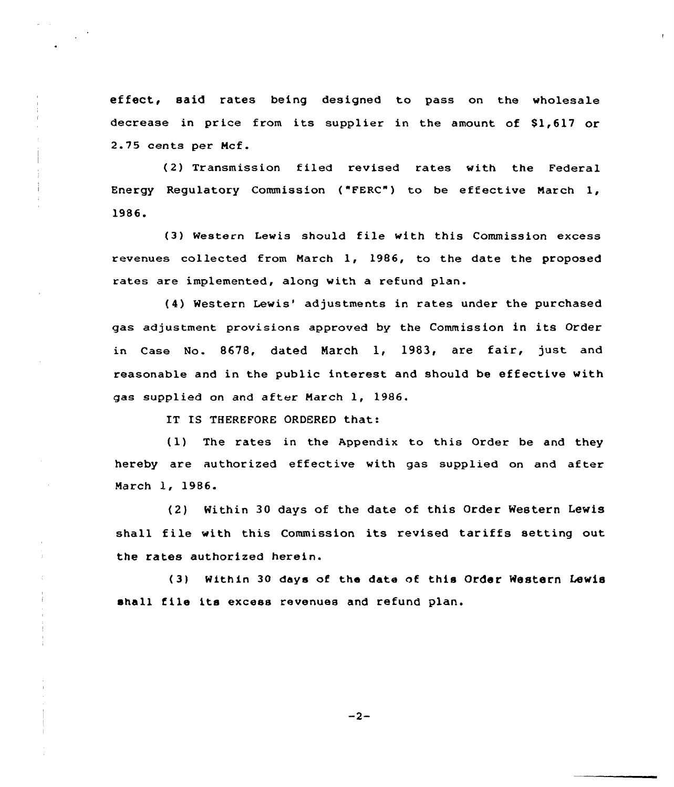effect, said rates being designed to pass on the wholesale decrease in price from its supplier in the amount of \$1,617 or 2.75 cents per Mcf.

(2) Transmission filed revised rates with the Federal Energy Regulatory Commission ("FERC") to be effective March 1, 1986.

(3) Western Lewis should file with this Commission excess revenues collected from March 1, 1986, to the date the proposed rates are implemented, along with a refund plan.

(4) Western Lewis' adjustments in rates under the purchased gas adjustment provisions approved by the Commission in its Order in Case No. 8678, dated March 1, 1983, are fair, just and reasonable and in the public interest and should be effective with gas supplied on and after March 1, 1986.

IT IS THEREFORE ORDERED that:

(1) The rates in the Appendix to this Order be and they hereby are authorized effective with gas supplied on and after March 1, 1986.

(2) Within 30 days of the date of this Order Western Lewis shall file with this Commission its revised tariffs setting out the rates authorized herein.

(3) Within 30 days of the date of this Order Western Lewis shall file its excess revenues and refund plan.

 $-2-$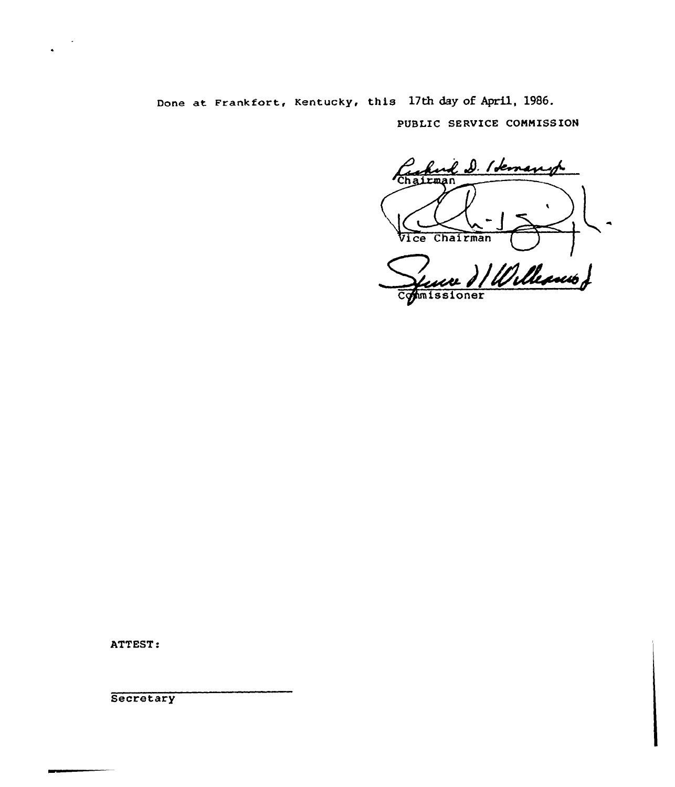Done at Frankfort, Kentucky, this 17th day of Apri1, 1986.

PUBLIC SERUICE CONNISS ION

find D. Idemand 'Chairman  $\mathbf{A}$ Vice Chairman ) / Williams J hmissioner

ATTEST:

**Secretary**